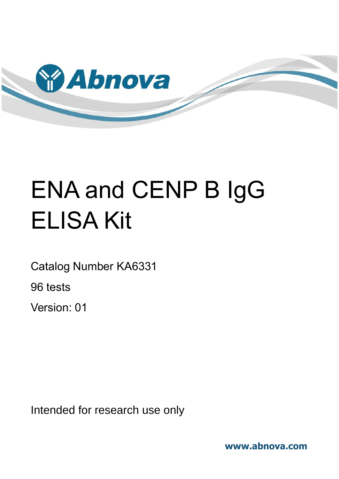

# ENA and CENP B IgG ELISA Kit

Catalog Number KA6331

96 tests

Version: 01

Intended for research use only

**www.abnova.com**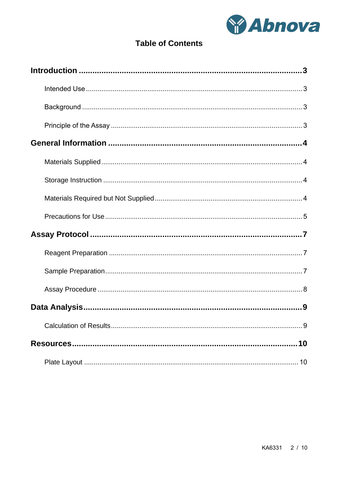

# **Table of Contents**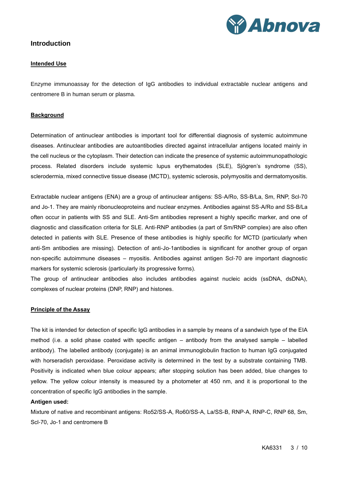

# <span id="page-2-1"></span><span id="page-2-0"></span>**Introduction**

#### **Intended Use**

Enzyme immunoassay for the detection of IgG antibodies to individual extractable nuclear antigens and centromere B in human serum or plasma.

#### <span id="page-2-2"></span>**Background**

Determination of antinuclear antibodies is important tool for differential diagnosis of systemic autoimmune diseases. Antinuclear antibodies are autoantibodies directed against intracellular antigens located mainly in the cell nucleus or the cytoplasm. Their detection can indicate the presence of systemic autoimmunopathologic process. Related disorders include systemic lupus erythematodes (SLE), Sjögren's syndrome (SS), sclerodermia, mixed connective tissue disease (MCTD), systemic sclerosis, polymyositis and dermatomyositis.

Extractable nuclear antigens (ENA) are a group of antinuclear antigens: SS-A/Ro, SS-B/La, Sm, RNP, Scl-70 and Jo-1. They are mainly ribonucleoproteins and nuclear enzymes. Antibodies against SS-A/Ro and SS-B/La often occur in patients with SS and SLE. Anti-Sm antibodies represent a highly specific marker, and one of diagnostic and classification criteria for SLE. Anti-RNP antibodies (a part of Sm/RNP complex) are also often detected in patients with SLE. Presence of these antibodies is highly specific for MCTD (particularly when anti-Sm antibodies are missing). Detection of anti-Jo-1antibodies is significant for another group of organ non-specific autoimmune diseases – myositis. Antibodies against antigen Scl-70 are important diagnostic markers for systemic sclerosis (particularly its progressive forms).

The group of antinuclear antibodies also includes antibodies against nucleic acids (ssDNA, dsDNA), complexes of nuclear proteins (DNP, RNP) and histones.

#### <span id="page-2-3"></span>**Principle of the Assay**

The kit is intended for detection of specific IgG antibodies in a sample by means of a sandwich type of the EIA method (i.e. a solid phase coated with specific antigen – antibody from the analysed sample – labelled antibody). The labelled antibody (conjugate) is an animal immunoglobulin fraction to human IgG conjugated with horseradish peroxidase. Peroxidase activity is determined in the test by a substrate containing TMB. Positivity is indicated when blue colour appears; after stopping solution has been added, blue changes to yellow. The yellow colour intensity is measured by a photometer at 450 nm, and it is proportional to the concentration of specific IgG antibodies in the sample.

#### **Antigen used:**

Mixture of native and recombinant antigens: Ro52/SS-A, Ro60/SS-A, La/SS-B, RNP-A, RNP-C, RNP 68, Sm, Scl-70, Jo-1 and centromere B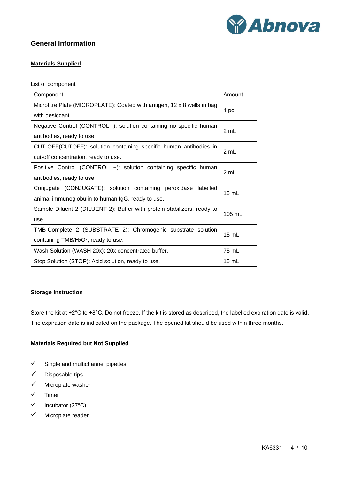

# <span id="page-3-1"></span><span id="page-3-0"></span>**General Information**

# **Materials Supplied**

List of component

| Component                                                               | Amount  |  |
|-------------------------------------------------------------------------|---------|--|
| Microtitre Plate (MICROPLATE): Coated with antigen, 12 x 8 wells in bag | 1 pc    |  |
| with desiccant.                                                         |         |  |
| Negative Control (CONTROL -): solution containing no specific human     | 2 mL    |  |
| antibodies, ready to use.                                               |         |  |
| CUT-OFF(CUTOFF): solution containing specific human antibodies in       | 2 mL    |  |
| cut-off concentration, ready to use.                                    |         |  |
| Positive Control (CONTROL +): solution containing specific human        |         |  |
| antibodies, ready to use.                                               | 2 mL    |  |
| Conjugate (CONJUGATE): solution containing peroxidase labelled          | 15 mL   |  |
| animal immunoglobulin to human IgG, ready to use.                       |         |  |
| Sample Diluent 2 (DILUENT 2): Buffer with protein stabilizers, ready to | 105 mL  |  |
| use.                                                                    |         |  |
| TMB-Complete 2 (SUBSTRATE 2): Chromogenic substrate solution            | 15 mL   |  |
| containing TMB/H <sub>2</sub> O <sub>2</sub> , ready to use.            |         |  |
| Wash Solution (WASH 20x): 20x concentrated buffer.                      | 75 mL   |  |
| Stop Solution (STOP): Acid solution, ready to use.                      | $15$ mL |  |

#### <span id="page-3-2"></span>**Storage Instruction**

Store the kit at +2°C to +8°C. Do not freeze. If the kit is stored as described, the labelled expiration date is valid. The expiration date is indicated on the package. The opened kit should be used within three months.

# <span id="page-3-3"></span>**Materials Required but Not Supplied**

- $\checkmark$  Single and multichannel pipettes
- ✓ Disposable tips
- ✓ Microplate washer
- ✓ Timer
- ✓ Incubator (37°C)
- ✓ Microplate reader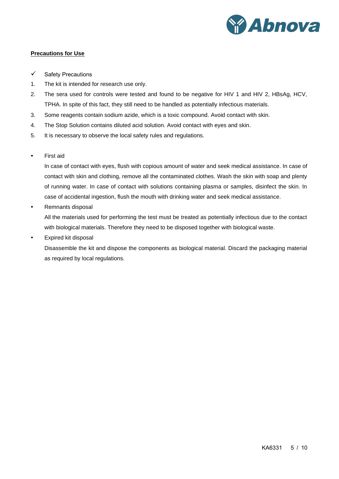

### <span id="page-4-0"></span>**Precautions for Use**

- ✓ Safety Precautions
- 1. The kit is intended for research use only.
- 2. The sera used for controls were tested and found to be negative for HIV 1 and HIV 2, HBsAg, HCV, TPHA. In spite of this fact, they still need to be handled as potentially infectious materials.
- 3. Some reagents contain sodium azide, which is a toxic compound. Avoid contact with skin.
- 4. The Stop Solution contains diluted acid solution. Avoid contact with eyes and skin.
- 5. It is necessary to observe the local safety rules and regulations.
- First aid

In case of contact with eyes, flush with copious amount of water and seek medical assistance. In case of contact with skin and clothing, remove all the contaminated clothes. Wash the skin with soap and plenty of running water. In case of contact with solutions containing plasma or samples, disinfect the skin. In case of accidental ingestion, flush the mouth with drinking water and seek medical assistance.

• Remnants disposal

All the materials used for performing the test must be treated as potentially infectious due to the contact with biological materials. Therefore they need to be disposed together with biological waste.

Expired kit disposal

Disassemble the kit and dispose the components as biological material. Discard the packaging material as required by local regulations.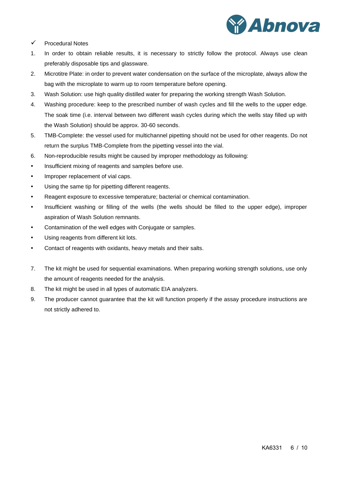

- ✓ Procedural Notes
- 1. In order to obtain reliable results, it is necessary to strictly follow the protocol. Always use clean preferably disposable tips and glassware.
- 2. Microtitre Plate: in order to prevent water condensation on the surface of the microplate, always allow the bag with the microplate to warm up to room temperature before opening.
- 3. Wash Solution: use high quality distilled water for preparing the working strength Wash Solution.
- 4. Washing procedure: keep to the prescribed number of wash cycles and fill the wells to the upper edge. The soak time (i.e. interval between two different wash cycles during which the wells stay filled up with the Wash Solution) should be approx. 30-60 seconds.
- 5. TMB-Complete: the vessel used for multichannel pipetting should not be used for other reagents. Do not return the surplus TMB-Complete from the pipetting vessel into the vial.
- 6. Non-reproducible results might be caused by improper methodology as following:
- Insufficient mixing of reagents and samples before use.
- Improper replacement of vial caps.
- Using the same tip for pipetting different reagents.
- Reagent exposure to excessive temperature; bacterial or chemical contamination.
- Insufficient washing or filling of the wells (the wells should be filled to the upper edge), improper aspiration of Wash Solution remnants.
- Contamination of the well edges with Conjugate or samples.
- Using reagents from different kit lots.
- Contact of reagents with oxidants, heavy metals and their salts.
- 7. The kit might be used for sequential examinations. When preparing working strength solutions, use only the amount of reagents needed for the analysis.
- 8. The kit might be used in all types of automatic EIA analyzers.
- 9. The producer cannot guarantee that the kit will function properly if the assay procedure instructions are not strictly adhered to.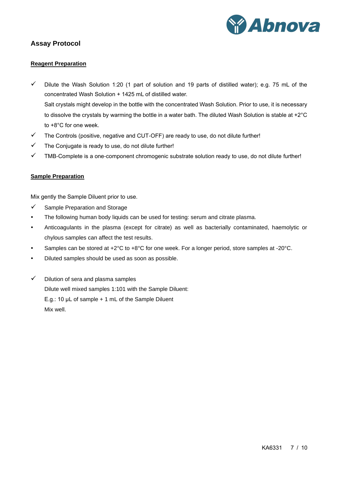

# <span id="page-6-1"></span><span id="page-6-0"></span>**Assay Protocol**

#### **Reagent Preparation**

- $\checkmark$  Dilute the Wash Solution 1:20 (1 part of solution and 19 parts of distilled water); e.g. 75 mL of the concentrated Wash Solution + 1425 mL of distilled water. Salt crystals might develop in the bottle with the concentrated Wash Solution. Prior to use, it is necessary to dissolve the crystals by warming the bottle in a water bath. The diluted Wash Solution is stable at +2°C to +8°C for one week.
- $\checkmark$  The Controls (positive, negative and CUT-OFF) are ready to use, do not dilute further!
- $\checkmark$  The Conjugate is ready to use, do not dilute further!
- <span id="page-6-2"></span> $\checkmark$  TMB-Complete is a one-component chromogenic substrate solution ready to use, do not dilute further!

#### **Sample Preparation**

Mix gently the Sample Diluent prior to use.

- ✓ Sample Preparation and Storage
- The following human body liquids can be used for testing: serum and citrate plasma.
- Anticoagulants in the plasma (except for citrate) as well as bacterially contaminated, haemolytic or chylous samples can affect the test results.
- Samples can be stored at +2°C to +8°C for one week. For a longer period, store samples at -20°C.
- Diluted samples should be used as soon as possible.
- ✓ Dilution of sera and plasma samples Dilute well mixed samples 1:101 with the Sample Diluent: E.g.: 10 μL of sample + 1 mL of the Sample Diluent Mix well.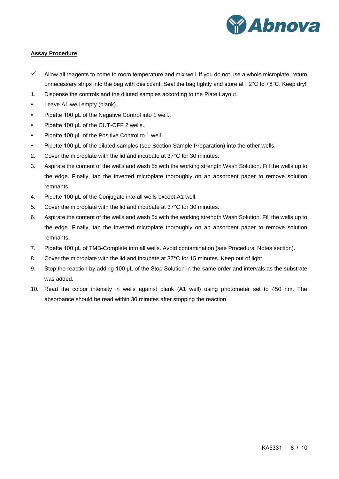

#### <span id="page-7-0"></span>**Assay Procedure**

- $\checkmark$  Allow all reagents to come to room temperature and mix well. If you do not use a whole microplate, return unnecessary strips into the bag with desiccant. Seal the bag tightly and store at +2°C to +8°C. Keep dry!
- 1. Dispense the controls and the diluted samples according to the Plate Layout.
- Leave A1 well empty (blank).
- Pipette 100 μL of the Negative Control into 1 well..
- Pipette 100 μL of the CUT-OFF 2 wells..
- Pipette 100 μL of the Positive Control to 1 well.
- Pipette 100 μL of the diluted samples (see Section Sample Preparation) into the other wells.
- 2. Cover the microplate with the lid and incubate at 37°C for 30 minutes.
- 3. Aspirate the content of the wells and wash 5x with the working strength Wash Solution. Fill the wells up to the edge. Finally, tap the inverted microplate thoroughly on an absorbent paper to remove solution remnants.
- 4. Pipette 100 μL of the Conjugate into all wells except A1 well.
- 5. Cover the microplate with the lid and incubate at 37°C for 30 minutes.
- 6. Aspirate the content of the wells and wash 5x with the working strength Wash Solution. Fill the wells up to the edge. Finally, tap the inverted microplate thoroughly on an absorbent paper to remove solution remnants.
- 7. Pipette 100 μL of TMB-Complete into all wells. Avoid contamination (see Procedural Notes section).
- 8. Cover the microplate with the lid and incubate at 37°C for 15 minutes. Keep out of light.
- 9. Stop the reaction by adding 100 μL of the Stop Solution in the same order and intervals as the substrate was added.
- 10. Read the colour intensity in wells against blank (A1 well) using photometer set to 450 nm. The absorbance should be read within 30 minutes after stopping the reaction.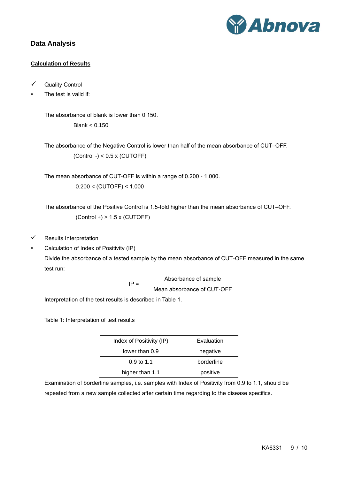

# <span id="page-8-1"></span><span id="page-8-0"></span>**Data Analysis**

# **Calculation of Results**

- ✓ Quality Control
- The test is valid if:

The absorbance of blank is lower than 0.150. Blank < 0.150

The absorbance of the Negative Control is lower than half of the mean absorbance of CUT-OFF.  $(Control -) < 0.5 \times (CUTOFF)$ 

The mean absorbance of CUT-OFF is within a range of 0.200 - 1.000.  $0.200 < (CUTOFF) < 1.000$ 

The absorbance of the Positive Control is 1.5-fold higher than the mean absorbance of CUT-OFF.  $(Control +) > 1.5 \times (CUTOFF)$ 

- $\checkmark$  Results Interpretation
- Calculation of Index of Positivity (IP)

Divide the absorbance of a tested sample by the mean absorbance of CUT-OFF measured in the same test run:

> $IP =$ Absorbance of sample Mean absorbance of CUT-OFF

Interpretation of the test results is described in Table 1.

Table 1: Interpretation of test results

| Index of Positivity (IP) | Evaluation |
|--------------------------|------------|
| lower than 0.9           | negative   |
| $0.9 \text{ to } 1.1$    | borderline |
| higher than 1.1          | positive   |
|                          |            |

Examination of borderline samples, i.e. samples with Index of Positivity from 0.9 to 1.1, should be repeated from a new sample collected after certain time regarding to the disease specifics.